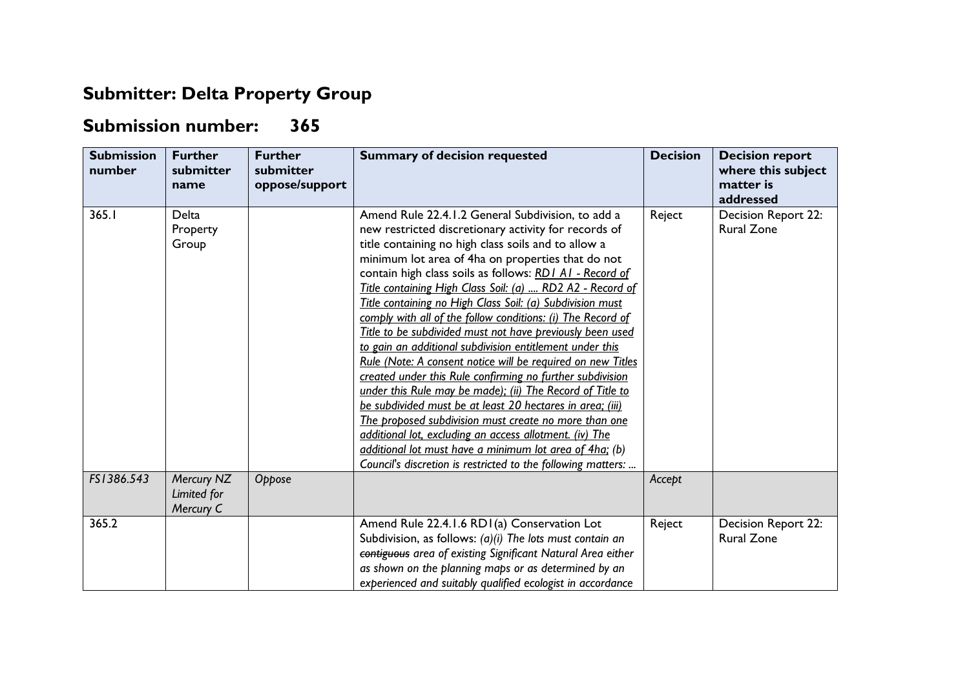## **Submitter: Delta Property Group**

## **Submission number: 365**

| <b>Submission</b><br>number | <b>Further</b><br>submitter<br>name    | <b>Further</b><br>submitter<br>oppose/support | <b>Summary of decision requested</b>                                                                                                                                                                                                                                                                                                                                                                                                                                                                                                                                                                                                                                                                                                                                                                                                                                                                                                                                                                                                                                                                    | <b>Decision</b> | <b>Decision report</b><br>where this subject<br>matter is<br>addressed |
|-----------------------------|----------------------------------------|-----------------------------------------------|---------------------------------------------------------------------------------------------------------------------------------------------------------------------------------------------------------------------------------------------------------------------------------------------------------------------------------------------------------------------------------------------------------------------------------------------------------------------------------------------------------------------------------------------------------------------------------------------------------------------------------------------------------------------------------------------------------------------------------------------------------------------------------------------------------------------------------------------------------------------------------------------------------------------------------------------------------------------------------------------------------------------------------------------------------------------------------------------------------|-----------------|------------------------------------------------------------------------|
| 365.1                       | Delta<br>Property<br>Group             |                                               | Amend Rule 22.4.1.2 General Subdivision, to add a<br>new restricted discretionary activity for records of<br>title containing no high class soils and to allow a<br>minimum lot area of 4ha on properties that do not<br>contain high class soils as follows: RD1 A1 - Record of<br>Title containing High Class Soil: (a)  RD2 A2 - Record of<br>Title containing no High Class Soil: (a) Subdivision must<br>comply with all of the follow conditions: (i) The Record of<br>Title to be subdivided must not have previously been used<br>to gain an additional subdivision entitlement under this<br>Rule (Note: A consent notice will be required on new Titles<br>created under this Rule confirming no further subdivision<br>under this Rule may be made); (ii) The Record of Title to<br>be subdivided must be at least 20 hectares in area; (iii)<br>The proposed subdivision must create no more than one<br>additional lot, excluding an access allotment. (iv) The<br>additional lot must have a minimum lot area of 4ha; (b)<br>Council's discretion is restricted to the following matters: | Reject          | Decision Report 22:<br><b>Rural Zone</b>                               |
| FS1386.543                  | Mercury NZ<br>Limited for<br>Mercury C | Oppose                                        |                                                                                                                                                                                                                                                                                                                                                                                                                                                                                                                                                                                                                                                                                                                                                                                                                                                                                                                                                                                                                                                                                                         | Accept          |                                                                        |
| 365.2                       |                                        |                                               | Amend Rule 22.4.1.6 RD1(a) Conservation Lot<br>Subdivision, as follows: $(a)(i)$ The lots must contain an<br>contiguous area of existing Significant Natural Area either<br>as shown on the planning maps or as determined by an<br>experienced and suitably qualified ecologist in accordance                                                                                                                                                                                                                                                                                                                                                                                                                                                                                                                                                                                                                                                                                                                                                                                                          | Reject          | Decision Report 22:<br><b>Rural Zone</b>                               |